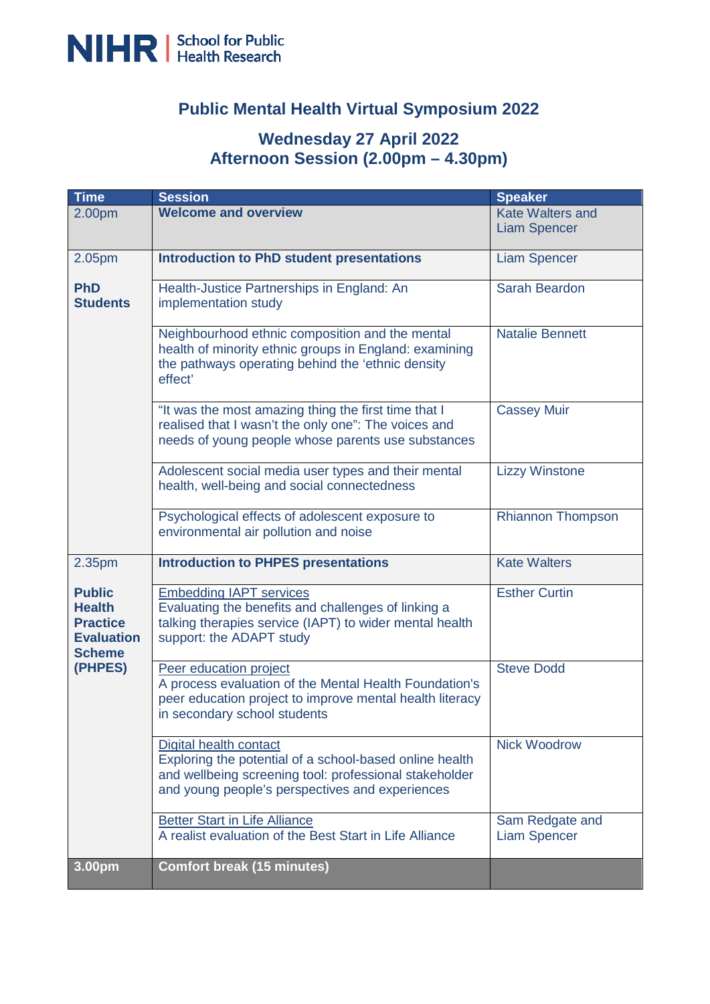

## **Public Mental Health Virtual Symposium 2022**

## **Wednesday 27 April 2022 Afternoon Session (2.00pm – 4.30pm)**

| <b>Time</b>                                                                                        | <b>Session</b>                                                                                                                                                                                 | <b>Speaker</b>                                 |
|----------------------------------------------------------------------------------------------------|------------------------------------------------------------------------------------------------------------------------------------------------------------------------------------------------|------------------------------------------------|
| 2.00pm                                                                                             | <b>Welcome and overview</b>                                                                                                                                                                    | <b>Kate Walters and</b><br><b>Liam Spencer</b> |
| 2.05pm                                                                                             | <b>Introduction to PhD student presentations</b>                                                                                                                                               | <b>Liam Spencer</b>                            |
| <b>PhD</b><br><b>Students</b>                                                                      | Health-Justice Partnerships in England: An<br>implementation study                                                                                                                             | <b>Sarah Beardon</b>                           |
|                                                                                                    | Neighbourhood ethnic composition and the mental<br>health of minority ethnic groups in England: examining<br>the pathways operating behind the 'ethnic density<br>effect'                      | <b>Natalie Bennett</b>                         |
|                                                                                                    | "It was the most amazing thing the first time that I<br>realised that I wasn't the only one": The voices and<br>needs of young people whose parents use substances                             | <b>Cassey Muir</b>                             |
|                                                                                                    | Adolescent social media user types and their mental<br>health, well-being and social connectedness                                                                                             | <b>Lizzy Winstone</b>                          |
|                                                                                                    | Psychological effects of adolescent exposure to<br>environmental air pollution and noise                                                                                                       | <b>Rhiannon Thompson</b>                       |
| 2.35pm                                                                                             | <b>Introduction to PHPES presentations</b>                                                                                                                                                     | <b>Kate Walters</b>                            |
| <b>Public</b><br><b>Health</b><br><b>Practice</b><br><b>Evaluation</b><br><b>Scheme</b><br>(PHPES) | <b>Embedding IAPT services</b><br>Evaluating the benefits and challenges of linking a<br>talking therapies service (IAPT) to wider mental health<br>support: the ADAPT study                   | <b>Esther Curtin</b>                           |
|                                                                                                    | Peer education project<br>A process evaluation of the Mental Health Foundation's<br>peer education project to improve mental health literacy<br>in secondary school students                   | <b>Steve Dodd</b>                              |
|                                                                                                    | Digital health contact<br>Exploring the potential of a school-based online health<br>and wellbeing screening tool: professional stakeholder<br>and young people's perspectives and experiences | <b>Nick Woodrow</b>                            |
|                                                                                                    | <b>Better Start in Life Alliance</b><br>A realist evaluation of the Best Start in Life Alliance                                                                                                | Sam Redgate and<br><b>Liam Spencer</b>         |
| 3.00pm                                                                                             | <b>Comfort break (15 minutes)</b>                                                                                                                                                              |                                                |